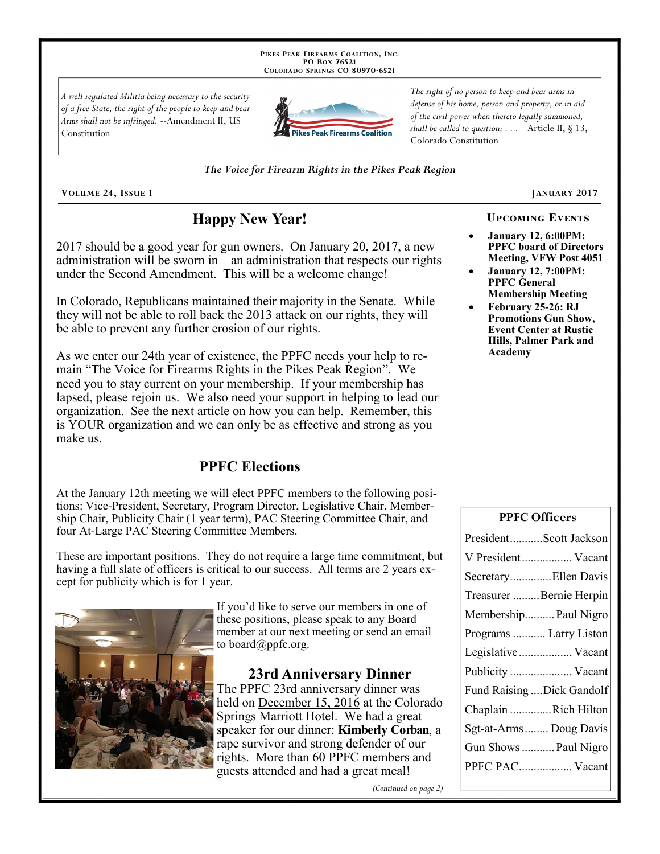PIKES PEAK FIREARMS COALITION, INC. PO Box 76521 COLORADO SPRINGS CO 80970-6521

A well regulated Militia being necessary to the security of a free State, the right of the people to keep and bear Arms shall not be infringed. --Amendment II, US Constitution



The right of no person to keep and bear arms in defense of his home, person and property, or in aid of the civil power when thereto legally summoned, shall be called to question;  $\ldots$  --Article II, § 13, Colorado Constitution

The Voice for Firearm Rights in the Pikes Peak Region

VOLUME 24, ISSUE 1

# **Happy New Year!**

2017 should be a good year for gun owners. On January 20, 2017, a new administration will be sworn in—an administration that respects our rights under the Second Amendment. This will be a welcome change!

In Colorado, Republicans maintained their majority in the Senate. While they will not be able to roll back the 2013 attack on our rights, they will be able to prevent any further erosion of our rights.

As we enter our 24th year of existence, the PPFC needs your help to remain "The Voice for Firearms Rights in the Pikes Peak Region". We need you to stay current on your membership. If your membership has lapsed, please rejoin us. We also need your support in helping to lead our organization. See the next article on how you can help. Remember, this is YOUR organization and we can only be as effective and strong as you make us.

## **PPFC Elections**

At the January 12th meeting we will elect PPFC members to the following positions: Vice-President, Secretary, Program Director, Legislative Chair, Membership Chair, Publicity Chair (1 year term), PAC Steering Committee Chair, and four At-Large PAC Steering Committee Members.

These are important positions. They do not require a large time commitment, but having a full slate of officers is critical to our success. All terms are 2 years except for publicity which is for 1 year.



If you'd like to serve our members in one of these positions, please speak to any Board member at our next meeting or send an email to board@ppfc.org.

23rd Anniversary Dinner The PPFC 23rd anniversary dinner was held on December 15, 2016 at the Colorado Springs Marriott Hotel. We had a great speaker for our dinner: **Kimberly Corban**, a rape survivor and strong defender of our rights. More than 60 PPFC members and guests attended and had a great meal!

(Continued on page 2)

**UPCOMING EVENTS** 

- **January 12, 6:00PM: PPFC** board of Directors Meeting, VFW Post 4051
- **January 12, 7:00PM: PPFC General Membership Meeting**
- February 25-26: RJ **Promotions Gun Show, Event Center at Rustic** Hills, Palmer Park and Academy

#### **PPFC Officers**

| PresidentScott Jackson     |
|----------------------------|
| V President Vacant         |
| SecretaryEllen Davis       |
| Treasurer Bernie Herpin    |
| Membership Paul Nigro      |
| Programs  Larry Liston     |
| Legislative Vacant         |
| Publicity  Vacant          |
| Fund Raising  Dick Gandolf |
| Chaplain Rich Hilton       |
| Sgt-at-Arms Doug Davis     |
| Gun Shows  Paul Nigro      |
| PPFC PAC Vacant            |
|                            |

# JANUARY 2017